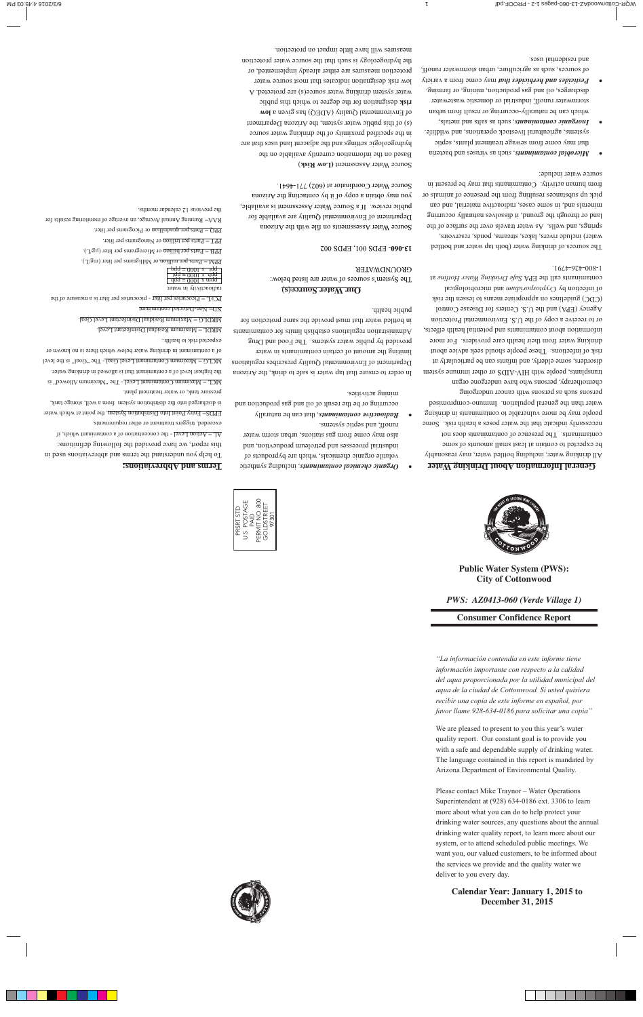

## **Public Water System (PWS): City of Cottonwood**

# *PWS: AZ0413-060 (Verde Village 1)*

## **Consumer Confidence Report**

*"La información contendía en este informe tiene información importante con respecto a la calidad del aqua proporcionada por la utilidad municipal del aqua de la ciudad de Cottonwood. Si usted quisiera recibir una copia de este informe en español, por favor llame 928-634-0186 para solicitar una copia"*

We are pleased to present to you this year's water quality report. Our constant goal is to provide you with a safe and dependable supply of drinking water. The language contained in this report is mandated by Arizona Department of Environmental Quality.

Please contact Mike Traynor – Water Operations Superintendent at (928) 634-0186 ext. 3306 to learn more about what you can do to help protect your drinking water sources, any questions about the annual drinking water quality report, to learn more about our system, or to attend scheduled public meetings. We want you, our valued customers, to be informed about the services we provide and the quality water we deliver to you every day.

## **Calendar Year: January 1, 2015 to December 31, 2015**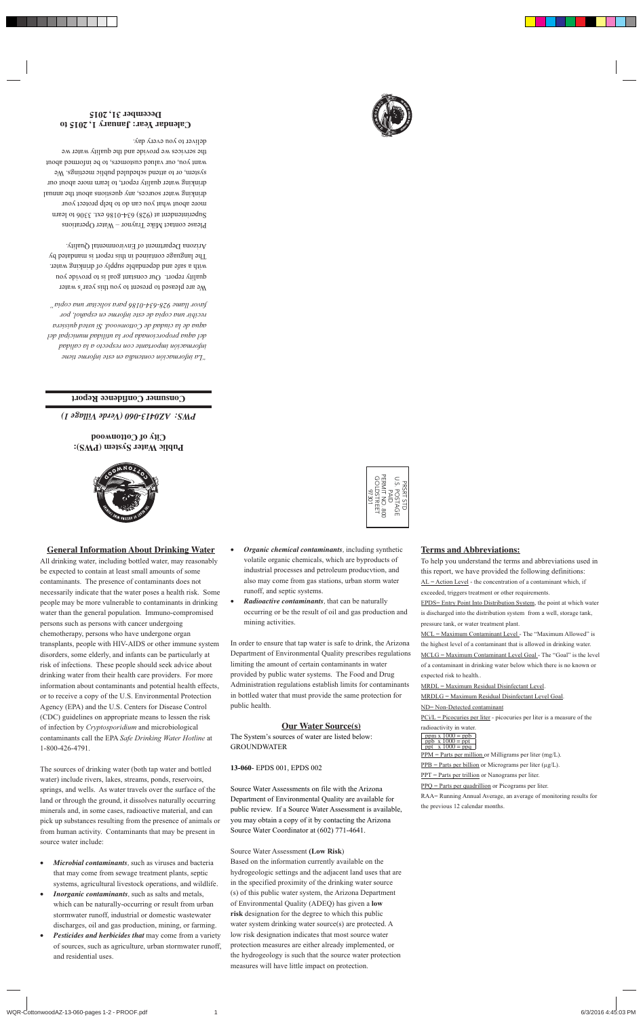### **General Information About Drinking Water**

All drinking water, including bottled water, may reasonably be expected to contain at least small amounts of some contaminants. The presence of contaminants does not necessarily indicate that the water poses a health risk. Some people may be more vulnerable to contaminants in drinking water than the general population. Immuno-compromised persons such as persons with cancer undergoing chemotherapy, persons who have undergone organ transplants, people with HIV-AIDS or other immune system disorders, some elderly, and infants can be particularly at risk of infections. These people should seek advice about drinking water from their health care providers. For more information about contaminants and potential health effects, or to receive a copy of the U.S. Environmental Protection Agency (EPA) and the U.S. Centers for Disease Control (CDC) guidelines on appropriate means to lessen the risk of infection by *Cryptosporidium* and microbiological contaminants call the EPA *Safe Drinking Water Hotline* at 1-800-426-4791.

The sources of drinking water (both tap water and bottled water) include rivers, lakes, streams, ponds, reservoirs, springs, and wells. As water travels over the surface of the land or through the ground, it dissolves naturally occurring minerals and, in some cases, radioactive material, and can pick up substances resulting from the presence of animals or from human activity. Contaminants that may be present in source water include:

- *Microbial contaminants,* such as viruses and bacteria that may come from sewage treatment plants, septic systems, agricultural livestock operations, and wildlife*.*
- *Inorganic contaminants,* such as salts and metals, which can be naturally-occurring or result from urban stormwater runoff, industrial or domestic wastewater discharges, oil and gas production, mining, or farming.
- *Pesticides and herbicides that* may come from a variety of sources, such as agriculture, urban stormwater runoff, and residential uses.
- *Organic chemical contaminants,* including synthetic volatile organic chemicals, which are byproducts of industrial processes and petroleum producvtion, and also may come from gas stations, urban storm water runoff, and septic systems.
- *Radioactive contaminants,* that can be naturally occurring or be the result of oil and gas production and mining activities.

In order to ensure that tap water is safe to drink, the Arizona Department of Environmental Quality prescribes regulations limiting the amount of certain contaminants in water provided by public water systems. The Food and Drug Administration regulations establish limits for contaminants in bottled water that must provide the same protection for public health.

### **Our Water Source(s)**

The System's sources of water are listed below: **GROUNDWATER** 

#### **13-060**- EPDS 001, EPDS 002

Source Water Assessments on file with the Arizona Department of Environmental Quality are available for public review. If a Source Water Assessment is available, you may obtain a copy of it by contacting the Arizona Source Water Coordinator at (602) 771-4641.

#### Source Water Assessment **(Low Risk**)

Based on the information currently available on the hydrogeologic settings and the adjacent land uses that are in the specified proximity of the drinking water source (s) of this public water system, the Arizona Department of Environmental Quality (ADEQ) has given a **low risk** designation for the degree to which this public water system drinking water source(s) are protected. A low risk designation indicates that most source water protection measures are either already implemented, or the hydrogeology is such that the source water protection measures will have little impact on protection.

### **Terms and Abbreviations:**

To help you understand the terms and abbreviations used in this report, we have provided the following definitions:  $AL = Action Level - the concentration of a contaminant which, if$ exceeded, triggers treatment or other requirements.

EPDS= Entry Point Into Distribution System, the point at which water is discharged into the distribution system from a well, storage tank, pressure tank, or water treatment plant.

MCL = Maximum Contaminant Level - The "Maximum Allowed" is the highest level of a contaminant that is allowed in drinking water. MCLG = Maximum Contaminant Level Goal - The "Goal" is the level of a contaminant in drinking water below which there is no known or expected risk to health..

MRDL = Maximum Residual Disinfectant Level.

MRDLG = Maximum Residual Disinfectant Level Goal.

ND= Non-Detected contaminant

 $PCi/L = Picocuries$  per liter - picocuries per liter is a measure of the

| radioactivity in water.                                           |
|-------------------------------------------------------------------|
| ppm $x 1000 = ppb$<br>ppb $x 1000 = ppt$<br>ppt $x 1000 = ppq$    |
| $PPM =$ Parts per million or Milligrams per liter (mg/L).         |
| $PPB$ = Parts per billion or Micrograms per liter ( $\mu$ g/L).   |
| $PPT = Parts per trillion or Nanograms per liter.$                |
| $PPQ =$ Parts per quadrillion or Picograms per liter.             |
| RAA= Running Annual Average, an average of monitoring results for |

the previous 12 calendar months.